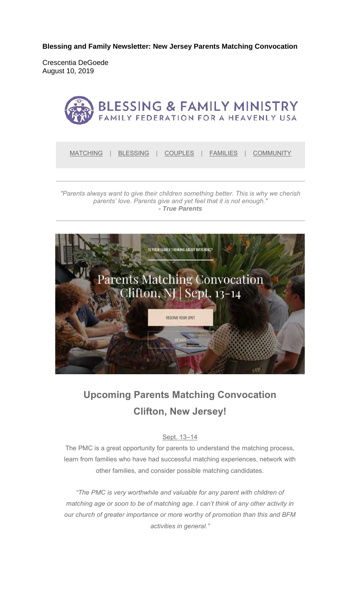**Blessing and Family Newsletter: New Jersey Parents Matching Convocation** 

Crescentia DeGoede August 10, 2019



*"Parents always want to give their children something better. This is why we cherish parents' love. Parents give and yet feel that it is not enough." - True Parents*



# **Upcoming Parents Matching Convocation Clifton, New Jersey!**

#### Sept. 13–14

The PMC is a great opportunity for parents to understand the matching process, learn from families who have had successful matching experiences, network with other families, and consider possible matching candidates.

*"The PMC is very worthwhile and valuable for any parent with children of matching age or soon to be of matching age. I can't think of any other activity in our church of greater importance or more worthy of promotion than this and BFM activities in general."*